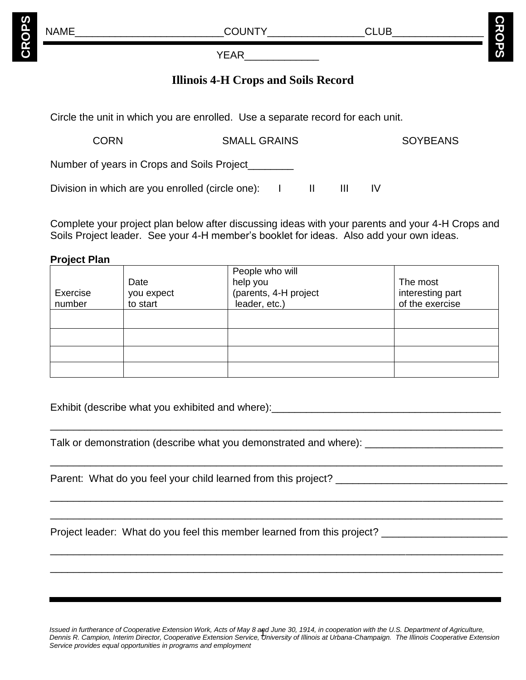**CROPS**

**S**

YEAR\_\_\_\_\_\_\_\_\_\_\_\_\_

# **Illinois 4-H Crops and Soils Record**

Circle the unit in which you are enrolled. Use a separate record for each unit.

Division in which are you enrolled (circle one): I II III IV

CORN SMALL GRAINS SOYBEANS Number of years in Crops and Soils Project\_\_\_\_\_\_\_\_

Complete your project plan below after discussing ideas with your parents and your 4-H Crops and Soils Project leader. See your 4-H member's booklet for ideas. Also add your own ideas.

## **Project Plan**

| Exercise<br>number | Date<br>you expect<br>to start | People who will<br>help you<br>(parents, 4-H project<br>leader, etc.) | The most<br>interesting part<br>of the exercise |
|--------------------|--------------------------------|-----------------------------------------------------------------------|-------------------------------------------------|
|                    |                                |                                                                       |                                                 |
|                    |                                |                                                                       |                                                 |
|                    |                                |                                                                       |                                                 |
|                    |                                |                                                                       |                                                 |

\_\_\_\_\_\_\_\_\_\_\_\_\_\_\_\_\_\_\_\_\_\_\_\_\_\_\_\_\_\_\_\_\_\_\_\_\_\_\_\_\_\_\_\_\_\_\_\_\_\_\_\_\_\_\_\_\_\_\_\_\_\_\_\_\_\_\_\_\_\_\_\_\_\_\_\_\_\_\_

\_\_\_\_\_\_\_\_\_\_\_\_\_\_\_\_\_\_\_\_\_\_\_\_\_\_\_\_\_\_\_\_\_\_\_\_\_\_\_\_\_\_\_\_\_\_\_\_\_\_\_\_\_\_\_\_\_\_\_\_\_\_\_\_\_\_\_\_\_\_\_\_\_\_\_\_\_\_\_

\_\_\_\_\_\_\_\_\_\_\_\_\_\_\_\_\_\_\_\_\_\_\_\_\_\_\_\_\_\_\_\_\_\_\_\_\_\_\_\_\_\_\_\_\_\_\_\_\_\_\_\_\_\_\_\_\_\_\_\_\_\_\_\_\_\_\_\_\_\_\_\_\_\_\_\_\_\_\_

\_\_\_\_\_\_\_\_\_\_\_\_\_\_\_\_\_\_\_\_\_\_\_\_\_\_\_\_\_\_\_\_\_\_\_\_\_\_\_\_\_\_\_\_\_\_\_\_\_\_\_\_\_\_\_\_\_\_\_\_\_\_\_\_\_\_\_\_\_\_\_\_\_\_\_\_\_\_\_

\_\_\_\_\_\_\_\_\_\_\_\_\_\_\_\_\_\_\_\_\_\_\_\_\_\_\_\_\_\_\_\_\_\_\_\_\_\_\_\_\_\_\_\_\_\_\_\_\_\_\_\_\_\_\_\_\_\_\_\_\_\_\_\_\_\_\_\_\_\_\_\_\_\_\_\_\_\_\_

\_\_\_\_\_\_\_\_\_\_\_\_\_\_\_\_\_\_\_\_\_\_\_\_\_\_\_\_\_\_\_\_\_\_\_\_\_\_\_\_\_\_\_\_\_\_\_\_\_\_\_\_\_\_\_\_\_\_\_\_\_\_\_\_\_\_\_\_\_\_\_\_\_\_\_\_\_\_\_

Exhibit (describe what you exhibited and where):

Talk or demonstration (describe what you demonstrated and where): \_\_\_\_\_\_\_\_\_\_\_\_\_\_

Parent: What do you feel your child learned from this project?

Project leader: What do you feel this member learned from this project?

**Issued in furtherance of Cooperative Extension Work, Acts of May 8 and June 30, 1914, in cooperation with the U.S. Department of Agriculture, <br>Doppis B. Compion, Interim Director, Cooperative Extension Sensice, University** *Dennis R. Campion, Interim Director, Cooperative Extension Service, University of Illinois at Urbana-Champaign. The Illinois Cooperative Extension Service provides equal opportunities in programs and employment*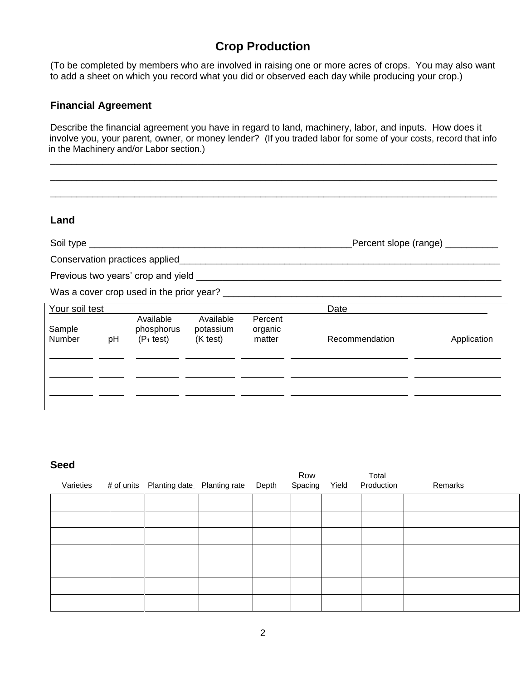## **Crop Production**

(To be completed by members who are involved in raising one or more acres of crops. You may also want to add a sheet on which you record what you did or observed each day while producing your crop.)

#### **Financial Agreement**

Describe the financial agreement you have in regard to land, machinery, labor, and inputs. How does it involve you, your parent, owner, or money lender? (If you traded labor for some of your costs, record that info in the Machinery and/or Labor section.)

\_\_\_\_\_\_\_\_\_\_\_\_\_\_\_\_\_\_\_\_\_\_\_\_\_\_\_\_\_\_\_\_\_\_\_\_\_\_\_\_\_\_\_\_\_\_\_\_\_\_\_\_\_\_\_\_\_\_\_\_\_\_\_\_\_\_\_\_\_\_\_\_\_\_\_\_\_\_\_\_\_\_\_\_\_ \_\_\_\_\_\_\_\_\_\_\_\_\_\_\_\_\_\_\_\_\_\_\_\_\_\_\_\_\_\_\_\_\_\_\_\_\_\_\_\_\_\_\_\_\_\_\_\_\_\_\_\_\_\_\_\_\_\_\_\_\_\_\_\_\_\_\_\_\_\_\_\_\_\_\_\_\_\_\_\_\_\_\_\_\_ \_\_\_\_\_\_\_\_\_\_\_\_\_\_\_\_\_\_\_\_\_\_\_\_\_\_\_\_\_\_\_\_\_\_\_\_\_\_\_\_\_\_\_\_\_\_\_\_\_\_\_\_\_\_\_\_\_\_\_\_\_\_\_\_\_\_\_\_\_\_\_\_\_\_\_\_\_\_\_\_\_\_\_\_\_

#### **Land**

Soil type \_\_\_\_\_\_\_\_\_\_\_\_\_\_\_\_\_\_\_\_\_\_\_\_\_\_\_\_\_\_\_\_\_\_\_\_\_\_\_\_\_\_\_\_\_\_\_\_\_\_Percent slope (range) \_\_\_\_\_\_\_\_\_\_

Conservation practices applied\_\_\_\_\_\_\_\_\_\_\_\_\_\_\_\_\_\_\_\_\_\_\_\_\_\_\_\_\_\_\_\_\_\_\_\_\_\_\_\_\_\_\_\_\_\_\_\_\_\_\_\_\_\_\_\_\_\_\_\_\_

Previous two years' crop and yield \_\_\_\_\_\_\_\_\_\_\_\_\_\_\_\_\_\_\_\_\_\_\_\_\_\_\_\_\_\_\_\_\_\_\_\_\_\_\_\_\_\_\_\_\_\_\_\_\_\_\_\_\_\_\_\_\_\_

Was a cover crop used in the prior year? \_\_\_\_\_\_\_\_\_\_\_\_\_\_\_\_\_\_\_\_\_\_\_\_\_\_\_\_\_\_\_\_\_\_\_\_\_\_\_\_\_\_\_\_\_\_\_\_\_\_\_\_\_

| Your soil test   |    |                                         |                                    |                              | Date           |             |
|------------------|----|-----------------------------------------|------------------------------------|------------------------------|----------------|-------------|
| Sample<br>Number | pH | Available<br>phosphorus<br>$(P_1$ test) | Available<br>potassium<br>(K test) | Percent<br>organic<br>matter | Recommendation | Application |
|                  |    |                                         |                                    |                              |                |             |
|                  |    |                                         |                                    |                              |                |             |
|                  |    |                                         |                                    |                              |                |             |
|                  |    |                                         |                                    |                              |                |             |

#### **Seed**

| Varieties |  | # of units Planting date Planting rate | Depth | Row<br>Spacing | Yield | Total<br>Production | Remarks |
|-----------|--|----------------------------------------|-------|----------------|-------|---------------------|---------|
|           |  |                                        |       |                |       |                     |         |
|           |  |                                        |       |                |       |                     |         |
|           |  |                                        |       |                |       |                     |         |
|           |  |                                        |       |                |       |                     |         |
|           |  |                                        |       |                |       |                     |         |
|           |  |                                        |       |                |       |                     |         |
|           |  |                                        |       |                |       |                     |         |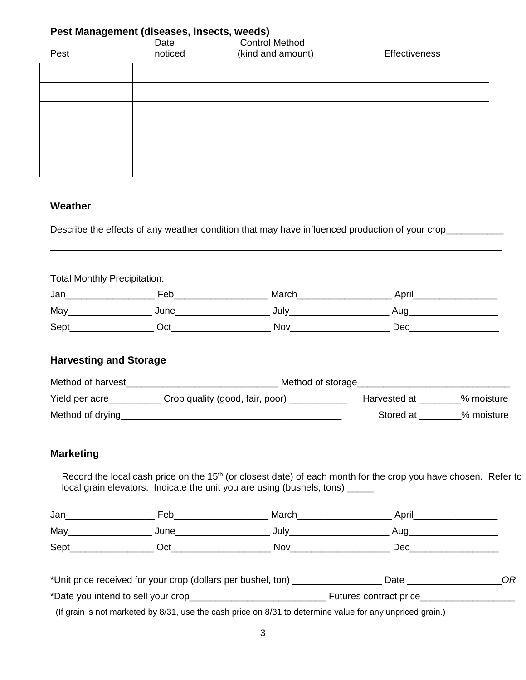| Pest Management (diseases, insects, weeds)<br><b>Control Method</b><br>Date |         |                   |                      |  |  |  |  |  |  |
|-----------------------------------------------------------------------------|---------|-------------------|----------------------|--|--|--|--|--|--|
| Pest                                                                        | noticed | (kind and amount) | <b>Effectiveness</b> |  |  |  |  |  |  |
|                                                                             |         |                   |                      |  |  |  |  |  |  |
|                                                                             |         |                   |                      |  |  |  |  |  |  |
|                                                                             |         |                   |                      |  |  |  |  |  |  |
|                                                                             |         |                   |                      |  |  |  |  |  |  |
|                                                                             |         |                   |                      |  |  |  |  |  |  |
|                                                                             |         |                   |                      |  |  |  |  |  |  |

#### **Weather**

Describe the effects of any weather condition that may have influenced production of your crop\_\_\_\_\_\_\_\_\_\_\_\_\_\_\_

Total Monthly Precipitation:

| Jan  | Feb  | March | April |
|------|------|-------|-------|
| May  | June | July  | Aug   |
| Sept | Oct  | Nov   | Dec   |

\_\_\_\_\_\_\_\_\_\_\_\_\_\_\_\_\_\_\_\_\_\_\_\_\_\_\_\_\_\_\_\_\_\_\_\_\_\_\_\_\_\_\_\_\_\_\_\_\_\_\_\_\_\_\_\_\_\_\_\_\_\_\_\_\_\_\_\_\_\_\_\_\_\_\_\_\_\_\_\_\_\_\_\_\_\_

## **Harvesting and Storage**

| Method of harvest | Method of storage               |              |            |
|-------------------|---------------------------------|--------------|------------|
| Yield per acre    | Crop quality (good, fair, poor) | Harvested at | % moisture |
| Method of drying  |                                 | Stored at    | % moisture |

## **Marketing**

Record the local cash price on the 15<sup>th</sup> (or closest date) of each month for the crop you have chosen. Refer to local grain elevators. Indicate the unit you are using (bushels, tons)  $\frac{1}{2}$ 

| Jan  | Feb  | March | April |
|------|------|-------|-------|
| May  | June | July  | Auc   |
| Sept | Эct  | Nov   | Dec   |

| *Unit price received for your crop (dollars per bushel, ton) | Date                   |  |
|--------------------------------------------------------------|------------------------|--|
| *Date you intend to sell your crop_                          | Futures contract price |  |

(If grain is not marketed by 8/31, use the cash price on 8/31 to determine value for any unpriced grain.)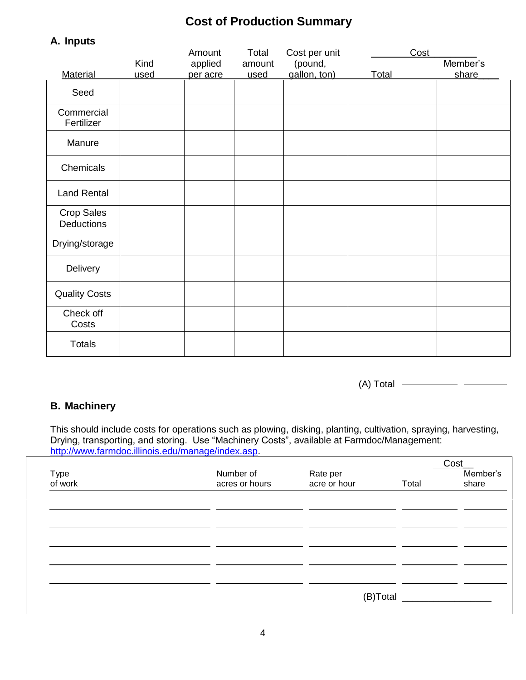# **Cost of Production Summary**

| n. puw                          |              | Amount              | Total          | Cost per unit           | Cost  |                   |
|---------------------------------|--------------|---------------------|----------------|-------------------------|-------|-------------------|
| Material                        | Kind<br>used | applied<br>per acre | amount<br>used | (pound,<br>gallon, ton) | Total | Member's<br>share |
| Seed                            |              |                     |                |                         |       |                   |
| Commercial<br>Fertilizer        |              |                     |                |                         |       |                   |
| Manure                          |              |                     |                |                         |       |                   |
| Chemicals                       |              |                     |                |                         |       |                   |
| <b>Land Rental</b>              |              |                     |                |                         |       |                   |
| <b>Crop Sales</b><br>Deductions |              |                     |                |                         |       |                   |
| Drying/storage                  |              |                     |                |                         |       |                   |
| Delivery                        |              |                     |                |                         |       |                   |
| <b>Quality Costs</b>            |              |                     |                |                         |       |                   |
| Check off<br>Costs              |              |                     |                |                         |       |                   |
| <b>Totals</b>                   |              |                     |                |                         |       |                   |

(A) Total

## **B. Machinery**

**A. Inputs**

This should include costs for operations such as plowing, disking, planting, cultivation, spraying, harvesting, Drying, transporting, and storing. Use "Machinery Costs", available at Farmdoc/Management: [http://www.farmdoc.illinois.edu/manage/index.asp.](http://www.farmdoc.illinois.edu/manage/index.asp)

| Type<br>of work | Number of<br>acres or hours | Rate per<br>acre or hour | Total    | Cost<br>Member's<br>share |
|-----------------|-----------------------------|--------------------------|----------|---------------------------|
|                 |                             |                          |          |                           |
|                 |                             |                          |          |                           |
|                 |                             |                          |          |                           |
|                 |                             |                          | (B)Total |                           |